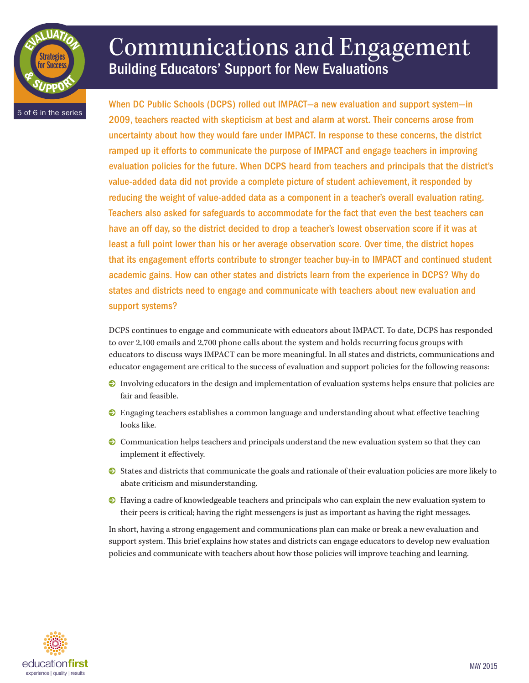

# Communications and Engagement Building Educators' Support for New Evaluations

When DC Public Schools (DCPS) rolled out IMPACT—a new evaluation and support system—in 2009, teachers reacted with skepticism at best and alarm at worst. Their concerns arose from uncertainty about how they would fare under IMPACT. In response to these concerns, the district ramped up it efforts to communicate the purpose of IMPACT and engage teachers in improving evaluation policies for the future. When DCPS heard from teachers and principals that the district's value-added data did not provide a complete picture of student achievement, it responded by reducing the weight of value-added data as a component in a teacher's overall evaluation rating. Teachers also asked for safeguards to accommodate for the fact that even the best teachers can have an off day, so the district decided to drop a teacher's lowest observation score if it was at least a full point lower than his or her average observation score. Over time, the district hopes that its engagement efforts contribute to stronger teacher buy-in to IMPACT and continued student academic gains. How can other states and districts learn from the experience in DCPS? Why do states and districts need to engage and communicate with teachers about new evaluation and support systems?

DCPS continues to engage and communicate with educators about IMPACT. To date, DCPS has responded to over 2,100 emails and 2,700 phone calls about the system and holds recurring focus groups with educators to discuss ways IMPACT can be more meaningful. In all states and districts, communications and educator engagement are critical to the success of evaluation and support policies for the following reasons:

- 0 Involving educators in the design and implementation of evaluation systems helps ensure that policies are fair and feasible.
- 0 Engaging teachers establishes a common language and understanding about what effective teaching looks like.
- 0 Communication helps teachers and principals understand the new evaluation system so that they can implement it effectively.
- 0 States and districts that communicate the goals and rationale of their evaluation policies are more likely to abate criticism and misunderstanding.
- 0 Having a cadre of knowledgeable teachers and principals who can explain the new evaluation system to their peers is critical; having the right messengers is just as important as having the right messages.

In short, having a strong engagement and communications plan can make or break a new evaluation and support system. This brief explains how states and districts can engage educators to develop new evaluation policies and communicate with teachers about how those policies will improve teaching and learning.

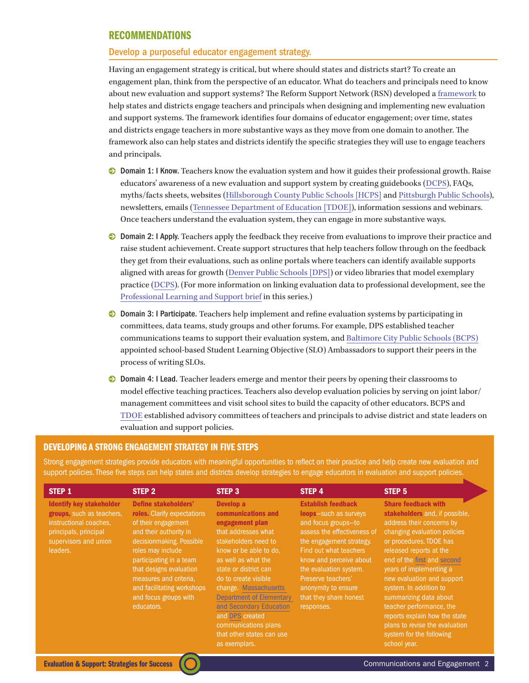## RECOMMENDATIONS

#### Develop a purposeful educator engagement strategy.

Having an engagement strategy is critical, but where should states and districts start? To create an engagement plan, think from the perspective of an educator. What do teachers and principals need to know about new evaluation and support systems? The Reform Support Network (RSN) developed a [framework](https://www2.ed.gov/about/inits/ed/implementation-support-unit/tech-assist/engaging-educators.pdf) to help states and districts engage teachers and principals when designing and implementing new evaluation and support systems. The framework identifies four domains of educator engagement; over time, states and districts engage teachers in more substantive ways as they move from one domain to another. The framework also can help states and districts identify the specific strategies they will use to engage teachers and principals.

- **Domain 1: I Know.** Teachers know the evaluation system and how it guides their professional growth. Raise educators' awareness of a new evaluation and support system by creating guidebooks [\(DCPS\)](http://dcps.dc.gov/DCPS/In%2Bthe%2BClassroom/Ensuring%2BTeacher%2BSuccess/IMPACT%2B%28Performance%2BAssessment%29/IMPACT%2BGuidebooks), FAQs, myths/facts sheets, websites ([Hillsborough County](http://communication.sdhc.k12.fl.us/eethome/) [Public Schools \[HCPS\]](http://communication.sdhc.k12.fl.us/eethome/) and [Pittsburgh Public Schools](http://www.pps.k12.pa.us/Domain/30)), newsletters, emails [\(Tennessee Department of Education](https://www2.ed.gov/about/inits/ed/implementation-support-unit/tech-assist/tle-sap-tn.pdf) [TDOE]), information sessions and webinars. Once teachers understand the evaluation system, they can engage in more substantive ways.
- 0 Domain 2: I Apply. Teachers apply the feedback they receive from evaluations to improve their practice and raise student achievement. Create support structures that help teachers follow through on the feedback they get from their evaluations, such as online portals where teachers can identify available supports aligned with areas for growth ([Denver Public Schools \[DPS\]](http://techtraining.dpsk12.org/dpmsteacher/)) or video libraries that model exemplary practice [\(DCPS](http://dcps.dc.gov/DCPS/realitypd)). (For more information on linking evaluation data to professional development, see the [Professional Learning and Support](http://www.education-first.com/files/EdFirst_Eval-ProfLearning-Apr9.pdf) brief in this series.)
- 0 Domain 3: I Participate. Teachers help implement and refine evaluation systems by participating in committees, data teams, study groups and other forums. For example, DPS established teacher communications teams to support their evaluation system, and [Baltimore City Public Schools \(BCPS\)](http://www.baltimorecityschools.org/Page/26885) appointed school-based Student Learning Objective (SLO) Ambassadors to support their peers in the process of writing SLOs.
- 0 Domain 4: I Lead. Teacher leaders emerge and mentor their peers by opening their classrooms to model effective teaching practices. Teachers also develop evaluation policies by serving on joint labor/ management committees and visit school sites to build the capacity of other educators. [BCPS](http://www.baltimorecityschools.org/Page/21605) and [TDOE](http://www.tn.gov/education/teaching/docs/yr_1_tchr_eval_rpt.pdf) established advisory committees of teachers and principals to advise district and state leaders on evaluation and support policies.

# DEVELOPING A STRONG ENGAGEMENT STRATEGY IN FIVE STEPS

Strong engagement strategies provide educators with meaningful opportunities to reflect on their practice and help create new evaluation and support policies. These five steps can help states and districts develop strategies to engage educators in evaluation and support policies.

| STEP <sub>1</sub>                                                                                                                                    | STEP <sub>2</sub>                                                                                                                                                                                                                                                                                          | STEP <sub>3</sub>                                                                                                                                                                                                                                                                                                                                                                   | STEP 4                                                                                                                                                                                                                                                                                                   | STEP <sub>5</sub>                                                                                                                                                                                                                                                                                                                                                                                                                                                      |
|------------------------------------------------------------------------------------------------------------------------------------------------------|------------------------------------------------------------------------------------------------------------------------------------------------------------------------------------------------------------------------------------------------------------------------------------------------------------|-------------------------------------------------------------------------------------------------------------------------------------------------------------------------------------------------------------------------------------------------------------------------------------------------------------------------------------------------------------------------------------|----------------------------------------------------------------------------------------------------------------------------------------------------------------------------------------------------------------------------------------------------------------------------------------------------------|------------------------------------------------------------------------------------------------------------------------------------------------------------------------------------------------------------------------------------------------------------------------------------------------------------------------------------------------------------------------------------------------------------------------------------------------------------------------|
| <b>Identify key stakeholder</b><br>groups, such as teachers,<br>instructional coaches.<br>principals, principal<br>supervisors and union<br>leaders. | Define stakeholders'<br>roles. Clarify expectations<br>of their engagement<br>and their authority in<br>decisionmaking. Possible<br>roles may include<br>participating in a team<br>that designs evaluation<br>measures and criteria.<br>and facilitating workshops<br>and focus groups with<br>educators. | Develop a<br>communications and<br>engagement plan<br>that addresses what<br>stakeholders need to<br>know or be able to do.<br>as well as what the<br>state or district can<br>do to create visible<br>change. Massachusetts<br><b>Department of Elementary</b><br>and Secondary Education<br>and DPS created<br>communications plans<br>that other states can use<br>as exemplars. | <b>Establish feedback</b><br>loops-such as surveys<br>and focus groups-to<br>assess the effectiveness of<br>the engagement strategy.<br>Find out what teachers<br>know and perceive about<br>the evaluation system.<br>Preserve teachers'<br>anonymity to ensure<br>that they share honest<br>responses. | <b>Share feedback with</b><br>stakeholders and, if possible,<br>address their concerns by<br>changing evaluation policies<br>or procedures. TDOE has<br>released reports at the<br>end of the first and second<br>years of implementing a<br>new evaluation and support<br>system. In addition to<br>summarizing data about<br>teacher performance, the<br>reports explain how the state<br>plans to revise the evaluation<br>system for the following<br>school year. |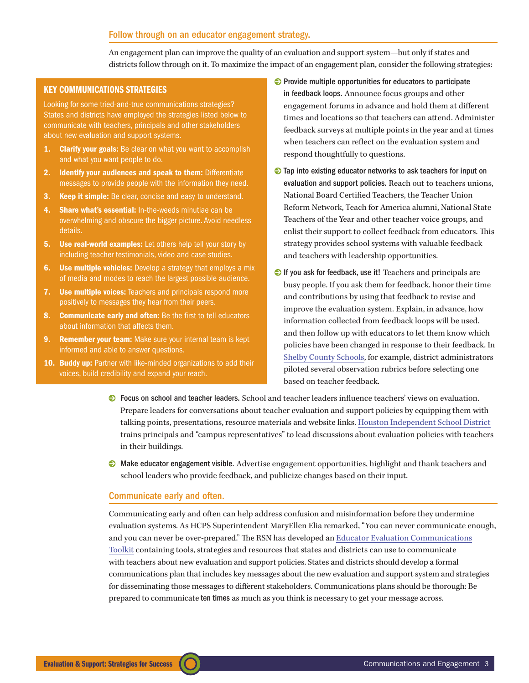## Follow through on an educator engagement strategy.

An engagement plan can improve the quality of an evaluation and support system—but only if states and districts follow through on it. To maximize the impact of an engagement plan, consider the following strategies:

#### KEY COMMUNICATIONS STRATEGIES

Looking for some tried-and-true communications strategies? States and districts have employed the strategies listed below to communicate with teachers, principals and other stakeholders about new evaluation and support systems.

- **1. Clarify your goals:** Be clear on what you want to accomplish and what you want people to do.
- 2. Identify your audiences and speak to them: Differentiate messages to provide people with the information they need.
- **3.** Keep it simple: Be clear, concise and easy to understand.
- 4. Share what's essential: In-the-weeds minutiae can be overwhelming and obscure the bigger picture. Avoid needless details.
- **5.** Use real-world examples: Let others help tell your story by including teacher testimonials, video and case studies.
- **6.** Use multiple vehicles: Develop a strategy that employs a mix of media and modes to reach the largest possible audience.
- 7. Use multiple voices: Teachers and principals respond more positively to messages they hear from their peers.
- 8. Communicate early and often: Be the first to tell educators about information that affects them.
- **9.** Remember your team: Make sure your internal team is kept informed and able to answer questions.
- 10. Buddy up: Partner with like-minded organizations to add their voices, build credibility and expand your reach.
- 0 Provide multiple opportunities for educators to participate in feedback loops. Announce focus groups and other engagement forums in advance and hold them at different times and locations so that teachers can attend. Administer feedback surveys at multiple points in the year and at times when teachers can reflect on the evaluation system and respond thoughtfully to questions.
- 0 Tap into existing educator networks to ask teachers for input on evaluation and support policies. Reach out to teachers unions, National Board Certified Teachers, the Teacher Union Reform Network, Teach for America alumni, National State Teachers of the Year and other teacher voice groups, and enlist their support to collect feedback from educators. This strategy provides school systems with valuable feedback and teachers with leadership opportunities.
- 0 If you ask for feedback, use it! Teachers and principals are busy people. If you ask them for feedback, honor their time and contributions by using that feedback to revise and improve the evaluation system. Explain, in advance, how information collected from feedback loops will be used, and then follow up with educators to let them know which policies have been changed in response to their feedback. In [Shelby](http://www.teachplus.org/uploads/Documents/1311086112_MemphisTeachersAtTheTable.pdf) [County Schools,](http://www.teachplus.org/uploads/Documents/1311086112_MemphisTeachersAtTheTable.pdf) for example, district administrators piloted several observation rubrics before selecting one based on teacher feedback.
- 0 Focus on school and teacher leaders. School and teacher leaders influence teachers' views on evaluation. Prepare leaders for conversations about teacher evaluation and support policies by equipping them with talking points, presentations, resource materials and website links. [Houston Independent School District](http://hisdeffectiveteachers.org/eti_rep) trains principals and "campus representatives" to lead discussions about evaluation policies with teachers in their buildings.
- 0 Make educator engagement visible. Advertise engagement opportunities, highlight and thank teachers and school leaders who provide feedback, and publicize changes based on their input.

### Communicate early and often.

Communicating early and often can help address confusion and misinformation before they undermine evaluation systems. As HCPS Superintendent MaryEllen Elia remarked, "You can never communicate enough, and you can never be over-prepared." The RSN has developed an [Educator Evaluation Communications](http://www2.ed.gov/about/inits/ed/implementation-support-unit/tech-assist/educator-evaluation-communications-toolkit.pdf) [Toolkit](http://www2.ed.gov/about/inits/ed/implementation-support-unit/tech-assist/educator-evaluation-communications-toolkit.pdf) containing tools, strategies and resources that states and districts can use to communicate with teachers about new evaluation and support policies. States and districts should develop a formal communications plan that includes key messages about the new evaluation and support system and strategies for disseminating those messages to different stakeholders. Communications plans should be thorough: Be prepared to communicate ten times as much as you think is necessary to get your message across.